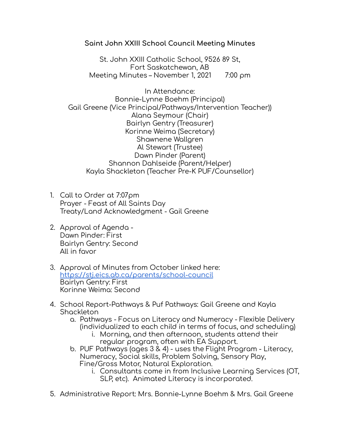## **Saint John XXIII School Council Meeting Minutes**

St. John XXIII Catholic School, 9526 89 St, Fort Saskatchewan, AB Meeting Minutes – November 1, 2021 7:00 pm

In Attendance: Bonnie-Lynne Boehm (Principal) Gail Greene (Vice Principal/Pathways/Intervention Teacher)) Alana Seymour (Chair) Bairlyn Gentry (Treasurer) Korinne Weima (Secretary) Shawnene Wallgren Al Stewart (Trustee) Dawn Pinder (Parent) Shannon Dahlseide (Parent/Helper) Kayla Shackleton (Teacher Pre-K PUF/Counsellor)

- 1. Call to Order at 7:07pm Prayer - Feast of All Saints Day Treaty/Land Acknowledgment - Gail Greene
- 2. Approval of Agenda Dawn Pinder: First Bairlyn Gentry: Second All in favor
- 3. Approval of Minutes from October linked here: <https://stj.eics.ab.ca/parents/school-council> Bairlyn Gentry: First Korinne Weima: Second
- 4. School Report-Pathways & Puf Pathways: Gail Greene and Kayla Shackleton
	- a. Pathways Focus on Literacy and Numeracy Flexible Delivery (individualized to each child in terms of focus, and scheduling)
		- i. Morning, and then afternoon, students attend their regular program, often with EA Support.
	- b. PUF Pathways (ages 3 & 4) uses the Flight Program Literacy, Numeracy, Social skills, Problem Solving, Sensory Play, Fine/Gross Motor, Natural Exploration.
		- i. Consultants come in from Inclusive Learning Services (OT, SLP, etc). Animated Literacy is incorporated.
- 5. Administrative Report: Mrs. Bonnie-Lynne Boehm & Mrs. Gail Greene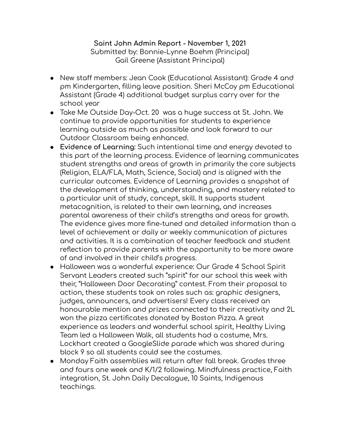## **Saint John Admin Report - November 1, 2021** Submitted by: Bonnie-Lynne Boehm (Principal) Gail Greene (Assistant Principal)

- New staff members: Jean Cook (Educational Assistant): Grade 4 and pm Kindergarten, filling leave position. Sheri McCoy pm Educational Assistant (Grade 4) additional budget surplus carry over for the school year
- Take Me Outside Day-Oct. 20 was a huge success at St. John. We continue to provide opportunities for students to experience learning outside as much as possible and look forward to our Outdoor Classroom being enhanced.
- **Evidence of Learning:** Such intentional time and energy devoted to this part of the learning process. Evidence of learning communicates student strengths and areas of growth in primarily the core subjects (Religion, ELA/FLA, Math, Science, Social) and is aligned with the curricular outcomes. Evidence of Learning provides a snapshot of the development of thinking, understanding, and mastery related to a particular unit of study, concept, skill. It supports student metacognition, is related to their own learning, and increases parental awareness of their child's strengths and areas for growth. The evidence gives more fine-tuned and detailed information than a level of achievement or daily or weekly communication of pictures and activities. It is a combination of teacher feedback and student reflection to provide parents with the opportunity to be more aware of and involved in their child's progress.
- Halloween was a wonderful experience: Our Grade 4 School Spirit Servant Leaders created such "spirit" for our school this week with their, "Halloween Door Decorating" contest. From their proposal to action, these students took on roles such as: graphic designers, judges, announcers, and advertisers! Every class received an honourable mention and prizes connected to their creativity and 2L won the pizza certificates donated by Boston Pizza. A great experience as leaders and wonderful school spirit, Healthy Living Team led a Halloween Walk, all students had a costume, Mrs. Lockhart created a GoogleSlide parade which was shared during block 9 so all students could see the costumes.
- Monday Faith assemblies will return after fall break. Grades three and fours one week and K/1/2 following. Mindfulness practice, Faith integration, St. John Daily Decalogue, 10 Saints, Indigenous teachings.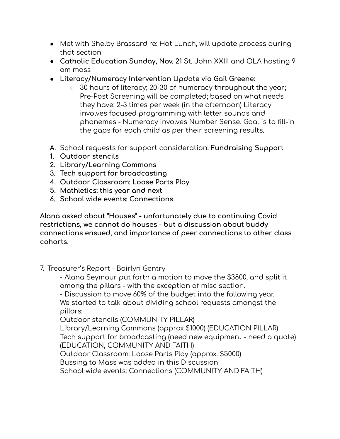- Met with Shelby Brassard re: Hot Lunch, will update process during that section
- **Catholic Education Sunday, Nov. 21** St. John XXIII and OLA hosting 9 am mass
- **● Literacy/Numeracy Intervention Update via Gail Greene:**
	- **○** 30 hours of literacy; 20-30 of numeracy throughout the year; Pre-Post Screening will be completed; based on what needs they have; 2-3 times per week (in the afternoon) Literacy involves focused programming with letter sounds and phonemes - Numeracy involves Number Sense. Goal is to fill-in the gaps for each child as per their screening results.
- A. School requests for support consideration**: Fundraising Support**
- **1. Outdoor stencils**
- **2. Library/Learning Commons**
- **3. Tech support for broadcasting**
- **4. Outdoor Classroom: Loose Parts Play**
- **5. Mathletics: this year and next**
- **6. School wide events: Connections**

**Alana asked about "Houses" - unfortunately due to continuing Covid restrictions, we cannot do houses - but a discussion about buddy connections ensued, and importance of peer connections to other class cohorts.**

7. Treasurer's Report - Bairlyn Gentry

- Alana Seymour put forth a motion to move the \$3800, and split it among the pillars - with the exception of misc section.

- Discussion to move 60% of the budget into the following year. We started to talk about dividing school requests amongst the pillars:

Outdoor stencils (COMMUNITY PILLAR)

Library/Learning Commons (approx \$1000) (EDUCATION PILLAR) Tech support for broadcasting (need new equipment - need a quote) (EDUCATION, COMMUNITY AND FAITH)

Outdoor Classroom: Loose Parts Play (approx. \$5000)

Bussing to Mass was added in this Discussion

School wide events: Connections (COMMUNITY AND FAITH)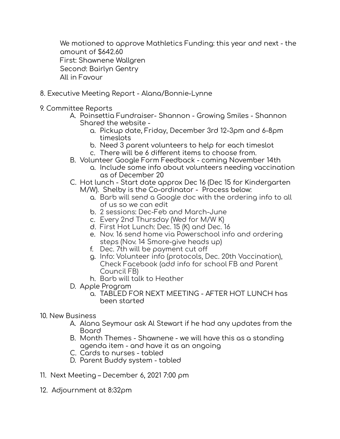We motioned to approve Mathletics Funding: this year and next - the amount of \$642.60 First: Shawnene Wallgren Second: Bairlyn Gentry All in Favour

- 8. Executive Meeting Report Alana/Bonnie-Lynne
- 9. Committee Reports
	- A. Poinsettia Fundraiser- Shannon Growing Smiles Shannon Shared the website
		- a. Pickup date, Friday, December 3rd 12-3pm and 6-8pm timeslots
		- b. Need 3 parent volunteers to help for each timeslot
		- c. There will be 6 different items to choose from.
	- B. Volunteer Google Form Feedback coming November 14th
		- a. Include some info about volunteers needing vaccination as of December 20
	- C. Hot lunch Start date approx Dec 16 (Dec 15 for Kindergarten M/W). Shelby is the Co-ordinator - Process below:
		- a. Barb will send a Google doc with the ordering info to all of us so we can edit
		- b. 2 sessions: Dec-Feb and March-June
		- c. Every 2nd Thursday (Wed for M/W K)
		- d. First Hot Lunch: Dec. 15 (K) and Dec. 16
		- e. Nov. 16 send home via Powerschool info and ordering steps (Nov. 14 Smore-give heads up)
		- f. Dec. 7th will be payment cut off
		- g. Info: Volunteer info (protocols, Dec. 20th Vaccination), Check Facebook (add info for school FB and Parent Council FB)
		- h. Barb will talk to Heather
	- D. Apple Program
		- a. TABLED FOR NEXT MEETING AFTER HOT LUNCH has been started
- 10. New Business
	- A. Alana Seymour ask Al Stewart if he had any updates from the Board
	- B. Month Themes Shawnene we will have this as a standing agenda item - and have it as an ongoing
	- C. Cards to nurses tabled
	- D. Parent Buddy system tabled
- 11. Next Meeting December 6, 2021 7:00 pm
- 12. Adjournment at 8:32pm